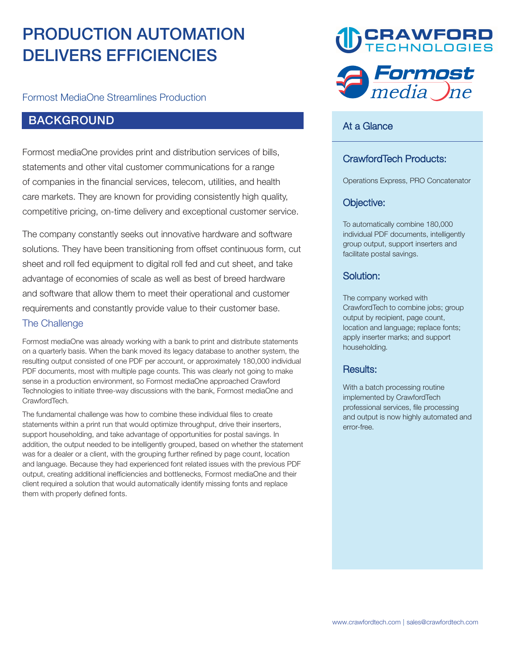# **PRODUCTION AUTOMATION DELIVERS EFFICIENCIES**

**Formost MediaOne Streamlines Production**

# **BACKGROUND**

**Formost mediaOne provides print and distribution services of bills, statements and other vital customer communications for a range of companies in the financial services, telecom, utilities, and health care markets. They are known for providing consistently high quality, competitive pricing, on-time delivery and exceptional customer service.**

**The company constantly seeks out innovative hardware and software solutions. They have been transitioning from offset continuous form, cut sheet and roll fed equipment to digital roll fed and cut sheet, and take advantage of economies of scale as well as best of breed hardware and software that allow them to meet their operational and customer requirements and constantly provide value to their customer base. The Challenge**

**Formost mediaOne was already working with a bank to print and distribute statements on a quarterly basis. When the bank moved its legacy database to another system, the resulting output consisted of one PDF per account, or approximately 180,000 individual PDF documents, most with multiple page counts. This was clearly not going to make sense in a production environment, so Formost mediaOne approached Crawford Technologies to initiate three-way discussions with the bank, Formost mediaOne and CrawfordTech.**

**The fundamental challenge was how to combine these individual files to create statements within a print run that would optimize throughput, drive their inserters, support householding, and take advantage of opportunities for postal savings. In addition, the output needed to be intelligently grouped, based on whether the statement was for a dealer or a client, with the grouping further refined by page count, location and language. Because they had experienced font related issues with the previous PDF output, creating additional inefficiencies and bottlenecks, Formost mediaOne and their client required a solution that would automatically identify missing fonts and replace them with properly defined fonts.**





#### **At a Glance**

### **CrawfordTech Products:**

**Operations Express, PRO Concatenator**

# **Objective:**

**To automatically combine 180,000 individual PDF documents, intelligently group output, support inserters and facilitate postal savings.** 

#### **Solution:**

**The company worked with CrawfordTech to combine jobs; group output by recipient, page count, location and language; replace fonts; apply inserter marks; and support householding.**

#### **Results:**

**With a batch processing routine implemented by CrawfordTech professional services, file processing and output is now highly automated and error-free.**